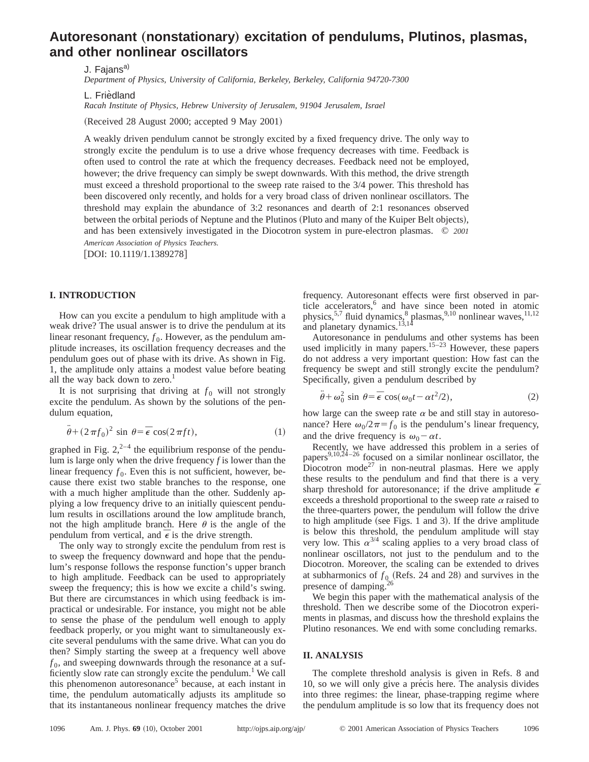# Autoresonant (nonstationary) excitation of pendulums, Plutinos, plasmas, **and other nonlinear oscillators**

J. Fajans<sup>a)</sup>

*Department of Physics, University of California, Berkeley, Berkeley, California 94720-7300*

L. Friedland

*Racah Institute of Physics, Hebrew University of Jerusalem, 91904 Jerusalem, Israel*

(Received 28 August 2000; accepted 9 May 2001)

A weakly driven pendulum cannot be strongly excited by a fixed frequency drive. The only way to strongly excite the pendulum is to use a drive whose frequency decreases with time. Feedback is often used to control the rate at which the frequency decreases. Feedback need not be employed, however; the drive frequency can simply be swept downwards. With this method, the drive strength must exceed a threshold proportional to the sweep rate raised to the 3/4 power. This threshold has been discovered only recently, and holds for a very broad class of driven nonlinear oscillators. The threshold may explain the abundance of 3:2 resonances and dearth of 2:1 resonances observed between the orbital periods of Neptune and the Plutinos (Pluto and many of the Kuiper Belt objects), and has been extensively investigated in the Diocotron system in pure-electron plasmas. © *2001 American Association of Physics Teachers.*

[DOI: 10.1119/1.1389278]

### **I. INTRODUCTION**

How can you excite a pendulum to high amplitude with a weak drive? The usual answer is to drive the pendulum at its linear resonant frequency,  $f_0$ . However, as the pendulum amplitude increases, its oscillation frequency decreases and the pendulum goes out of phase with its drive. As shown in Fig. 1, the amplitude only attains a modest value before beating all the way back down to zero. $<sup>1</sup>$ </sup>

It is not surprising that driving at  $f_0$  will not strongly excite the pendulum. As shown by the solutions of the pendulum equation,

$$
\ddot{\theta} + (2\pi f_0)^2 \sin \theta = \bar{\epsilon} \cos(2\pi ft), \qquad (1)
$$

graphed in Fig.  $2^{2-4}$  the equilibrium response of the pendulum is large only when the drive frequency *f* is lower than the linear frequency  $f_0$ . Even this is not sufficient, however, because there exist two stable branches to the response, one with a much higher amplitude than the other. Suddenly applying a low frequency drive to an initially quiescent pendulum results in oscillations around the low amplitude branch, not the high amplitude branch. Here  $\theta$  is the angle of the pendulum from vertical, and  $\overline{\epsilon}$  is the drive strength.

The only way to strongly excite the pendulum from rest is to sweep the frequency downward and hope that the pendulum's response follows the response function's upper branch to high amplitude. Feedback can be used to appropriately sweep the frequency; this is how we excite a child's swing. But there are circumstances in which using feedback is impractical or undesirable. For instance, you might not be able to sense the phase of the pendulum well enough to apply feedback properly, or you might want to simultaneously excite several pendulums with the same drive. What can you do then? Simply starting the sweep at a frequency well above  $f_0$ , and sweeping downwards through the resonance at a sufficiently slow rate can strongly excite the pendulum.<sup>1</sup> We call this phenomenon autoresonance<sup>5</sup> because, at each instant in time, the pendulum automatically adjusts its amplitude so that its instantaneous nonlinear frequency matches the drive

frequency. Autoresonant effects were first observed in particle accelerators,<sup>6</sup> and have since been noted in atomic physics,<sup>5,7</sup> fluid dynamics, $8$  plasmas, $9,10$  nonlinear waves, $11,12$ and planetary dynamics.<sup>13,14</sup>

Autoresonance in pendulums and other systems has been used implicitly in many papers.<sup>15–23</sup> However, these papers do not address a very important question: How fast can the frequency be swept and still strongly excite the pendulum? Specifically, given a pendulum described by

$$
\ddot{\theta} + \omega_0^2 \sin \theta = \bar{\epsilon} \cos(\omega_0 t - \alpha t^2 / 2), \qquad (2)
$$

how large can the sweep rate  $\alpha$  be and still stay in autoresonance? Here  $\omega_0/2\pi = f_0$  is the pendulum's linear frequency, and the drive frequency is  $\omega_0 - \alpha t$ .

Recently, we have addressed this problem in a series of papers<sup>9,10,24–26</sup> focused on a similar nonlinear oscillator, the Diocotron mode<sup>27</sup> in non-neutral plasmas. Here we apply these results to the pendulum and find that there is a very sharp threshold for autoresonance; if the drive amplitude  $\frac{1}{6}$ exceeds a threshold proportional to the sweep rate  $\alpha$  raised to the three-quarters power, the pendulum will follow the drive to high amplitude (see Figs. 1 and 3). If the drive amplitude is below this threshold, the pendulum amplitude will stay very low. This  $\alpha^{3/4}$  scaling applies to a very broad class of nonlinear oscillators, not just to the pendulum and to the Diocotron. Moreover, the scaling can be extended to drives at subharmonics of  $f_{0}$  (Refs. 24 and 28) and survives in the presence of damping.

We begin this paper with the mathematical analysis of the threshold. Then we describe some of the Diocotron experiments in plasmas, and discuss how the threshold explains the Plutino resonances. We end with some concluding remarks.

### **II. ANALYSIS**

The complete threshold analysis is given in Refs. 8 and 10, so we will only give a précis here. The analysis divides into three regimes: the linear, phase-trapping regime where the pendulum amplitude is so low that its frequency does not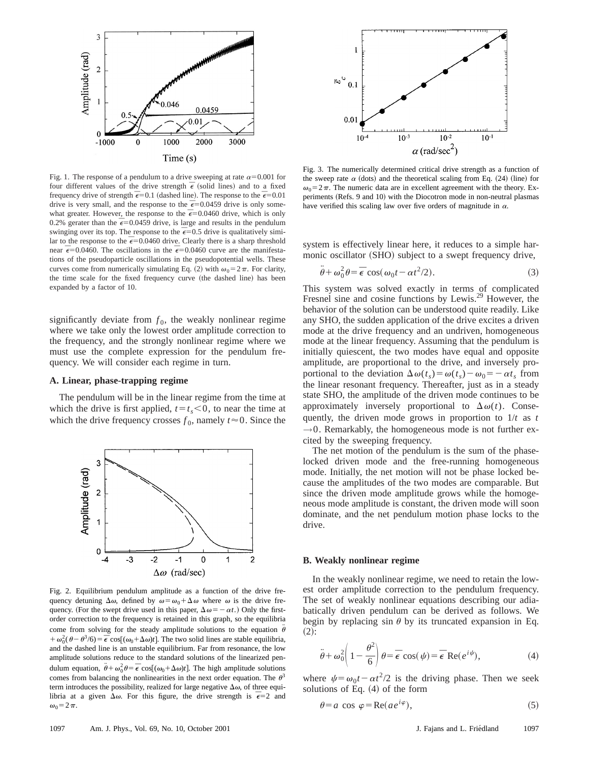

Fig. 1. The response of a pendulum to a drive sweeping at rate  $\alpha$ =0.001 for four different values of the drive strength  $\bar{\epsilon}$  (solid lines) and to a fixed frequency drive of strength  $\bar{\epsilon}$  = 0.1 (dashed line). The response to the  $\bar{\epsilon}$  = 0.01 drive is very small, and the response to the  $\bar{\epsilon}$ =0.0459 drive is only somewhat greater. However, the response to the  $\vec{\epsilon}$ =0.0460 drive, which is only 0.2% gerater than the  $\bar{\epsilon}$ =0.0459 drive, is large and results in the pendulum swinging over its top. The response to the  $\bar{\epsilon}$ =0.5 drive is qualitatively similar to the response to the  $\bar{\epsilon}$ =0.0460 drive. Clearly there is a sharp threshold near  $\bar{\epsilon}$ =0.0460. The oscillations in the  $\bar{\epsilon}$ =0.0460 curve are the manifestations of the pseudoparticle oscillations in the pseudopotential wells. These curves come from numerically simulating Eq. (2) with  $\omega_0 = 2 \pi$ . For clarity, the time scale for the fixed frequency curve (the dashed line) has been expanded by a factor of 10.

significantly deviate from  $f_0$ , the weakly nonlinear regime where we take only the lowest order amplitude correction to the frequency, and the strongly nonlinear regime where we must use the complete expression for the pendulum frequency. We will consider each regime in turn.

### **A. Linear, phase-trapping regime**

The pendulum will be in the linear regime from the time at which the drive is first applied,  $t = t_s < 0$ , to near the time at which the drive frequency crosses  $f_0$ , namely  $t \approx 0$ . Since the



Fig. 2. Equilibrium pendulum amplitude as a function of the drive frequency detuning  $\Delta\omega$ , defined by  $\omega = \omega_0 + \Delta\omega$  where  $\omega$  is the drive frequency. (For the swept drive used in this paper,  $\Delta \omega = -\alpha t$ .) Only the firstorder correction to the frequency is retained in this graph, so the equilibria come from solving for the steady amplitude solutions to the equation  $\ddot{\theta}$ +  $\omega_0^2$ ( $\theta - \theta^3$ /6) =  $\vec{\epsilon}$  cos[( $\omega_0 + \Delta \omega$ )*t*]. The two solid lines are stable equilibria, and the dashed line is an unstable equilibrium. Far from resonance, the low amplitude solutions reduce to the standard solutions of the linearized pendulum equation,  $\ddot{\theta} + \omega_0^2 \theta = \bar{\epsilon} \cos[(\omega_0 + \Delta \omega)t]$ . The high amplitude solutions comes from balancing the nonlinearities in the next order equation. The  $\theta^3$ term introduces the possibility, realized for large negative  $\Delta\omega$ , of three equilibria at a given  $\Delta\omega$ . For this figure, the drive strength is  $\bar{\epsilon}=2$  and  $\omega_0=2\pi$ .



Fig. 3. The numerically determined critical drive strength as a function of the sweep rate  $\alpha$  (dots) and the theoretical scaling from Eq. (24) (line) for  $\omega_0 = 2\pi$ . The numeric data are in excellent agreement with the theory. Experiments (Refs. 9 and 10) with the Diocotron mode in non-neutral plasmas have verified this scaling law over five orders of magnitude in  $\alpha$ .

system is effectively linear here, it reduces to a simple harmonic oscillator (SHO) subject to a swept frequency drive,

$$
\ddot{\theta} + \omega_0^2 \theta = \bar{\epsilon} \cos(\omega_0 t - \alpha t^2 / 2). \tag{3}
$$

This system was solved exactly in terms of complicated Fresnel sine and cosine functions by Lewis.<sup>29</sup> However, the behavior of the solution can be understood quite readily. Like any SHO, the sudden application of the drive excites a driven mode at the drive frequency and an undriven, homogeneous mode at the linear frequency. Assuming that the pendulum is initially quiescent, the two modes have equal and opposite amplitude, are proportional to the drive, and inversely proportional to the deviation  $\Delta \omega(t_s) = \omega(t_s) - \omega_0 = -\alpha t_s$  from the linear resonant frequency. Thereafter, just as in a steady state SHO, the amplitude of the driven mode continues to be approximately inversely proportional to  $\Delta \omega(t)$ . Consequently, the driven mode grows in proportion to 1/*t* as *t*  $\rightarrow$ 0. Remarkably, the homogeneous mode is not further excited by the sweeping frequency.

The net motion of the pendulum is the sum of the phaselocked driven mode and the free-running homogeneous mode. Initially, the net motion will not be phase locked because the amplitudes of the two modes are comparable. But since the driven mode amplitude grows while the homogeneous mode amplitude is constant, the driven mode will soon dominate, and the net pendulum motion phase locks to the drive.

#### **B. Weakly nonlinear regime**

In the weakly nonlinear regime, we need to retain the lowest order amplitude correction to the pendulum frequency. The set of weakly nonlinear equations describing our adiabatically driven pendulum can be derived as follows. We begin by replacing sin  $\theta$  by its truncated expansion in Eq.  $(2)$ :

$$
\ddot{\theta} + \omega_0^2 \left( 1 - \frac{\theta^2}{6} \right) \theta = \bar{\epsilon} \cos(\psi) = \bar{\epsilon} \text{ Re}(e^{i\psi}), \tag{4}
$$

where  $\psi = \omega_0 t - \alpha t^2/2$  is the driving phase. Then we seek solutions of Eq.  $(4)$  of the form

$$
\theta = a \cos \varphi = \text{Re}(ae^{i\varphi}),\tag{5}
$$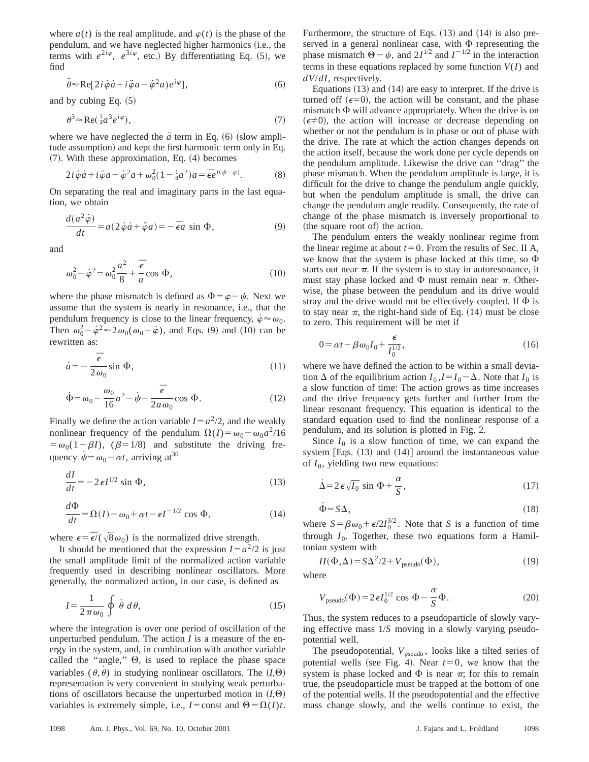where  $a(t)$  is the real amplitude, and  $\varphi(t)$  is the phase of the pendulum, and we have neglected higher harmonics (i.e., the terms with  $e^{2i\varphi}$ ,  $e^{3i\varphi}$ , etc.) By differentiating Eq. (5), we find

$$
\ddot{\theta} \approx \text{Re}[2i\dot{\varphi}\dot{a} + i\ddot{\varphi}a - \dot{\varphi}^2a)e^{i\varphi}], \tag{6}
$$

and by cubing Eq.  $(5)$ 

$$
\theta^3 \approx \text{Re}\left(\tfrac{3}{4}a^3 e^{i\varphi}\right),\tag{7}
$$

where we have neglected the  $\ddot{a}$  term in Eq.  $(6)$  (slow amplitude assumption) and kept the first harmonic term only in Eq.  $(7)$ . With these approximation, Eq.  $(4)$  becomes

$$
2i\dot{\varphi}\dot{a} + i\ddot{\varphi}a - \dot{\varphi}^2a + \omega_0^2(1 - \frac{1}{8}a^2)a = \bar{\epsilon}e^{i(\psi - \varphi)}.
$$
 (8)

On separating the real and imaginary parts in the last equation, we obtain

$$
\frac{d(a^2\dot{\varphi})}{dt} = a(2\dot{\varphi}\dot{a} + \ddot{\varphi}a) = -\,\overline{\epsilon}a\,\sin\Phi,\tag{9}
$$

and

$$
\omega_0^2 - \dot{\varphi}^2 = \omega_0^2 \frac{a^2}{8} + \frac{\bar{\epsilon}}{a} \cos \Phi,\tag{10}
$$

where the phase mismatch is defined as  $\Phi = \varphi - \psi$ . Next we assume that the system is nearly in resonance, i.e., that the pendulum frequency is close to the linear frequency,  $\dot{\varphi} \approx \omega_0$ . Then  $\omega_0^2 - \dot{\varphi}^2 \approx 2 \omega_0 (\omega_0 - \dot{\varphi})$ , and Eqs. (9) and (10) can be rewritten as:

$$
\dot{a} = -\frac{\bar{\epsilon}}{2\omega_0} \sin \Phi,\tag{11}
$$

$$
\dot{\Phi} = \omega_0 - \frac{\omega_0}{16} a^2 - \dot{\psi} - \frac{\bar{\epsilon}}{2a\omega_0} \cos \Phi.
$$
 (12)

Finally we define the action variable  $I = a^2/2$ , and the weakly nonlinear frequency of the pendulum  $\Omega(I) = \omega_0 - \omega_0 a^2/16$  $=\omega_0(1-\beta I)$ ,  $(\beta=1/8)$  and substitute the driving frequency  $\dot{\psi} = \omega_0 - \alpha t$ , arriving at<sup>30</sup>

$$
\frac{dI}{dt} = -2\epsilon I^{1/2} \sin \Phi,\tag{13}
$$

$$
\frac{d\Phi}{dt} = \Omega(I) - \omega_0 + \alpha t - \epsilon I^{-1/2} \cos \Phi,
$$
\n(14)

where  $\epsilon = \bar{\epsilon}/(\sqrt{8}\omega_0)$  is the normalized drive strength.

It should be mentioned that the expression  $I = a^2/2$  is just the small amplitude limit of the normalized action variable frequently used in describing nonlinear oscillators. More generally, the normalized action, in our case, is defined as

$$
I = \frac{1}{2\pi\omega_0} \oint \dot{\theta} \, d\theta,\tag{15}
$$

where the integration is over one period of oscillation of the unperturbed pendulum. The action *I* is a measure of the energy in the system, and, in combination with another variable called the "angle,"  $\Theta$ , is used to replace the phase space variables  $(\theta, \dot{\theta})$  in studying nonlinear oscillators. The  $(I, \Theta)$ representation is very convenient in studying weak perturbations of oscillators because the unperturbed motion in  $(I,\Theta)$ variables is extremely simple, i.e.,  $I =$ const and  $\Theta = \Omega(I)t$ . Furthermore, the structure of Eqs.  $(13)$  and  $(14)$  is also preserved in a general nonlinear case, with  $\Phi$  representing the phase mismatch  $\Theta - \psi$ , and  $2I^{1/2}$  and  $I^{-1/2}$  in the interaction terms in these equations replaced by some function *V*(*I*) and *dV*/*dI*, respectively.

Equations  $(13)$  and  $(14)$  are easy to interpret. If the drive is turned off  $(\epsilon=0)$ , the action will be constant, and the phase mismatch  $\Phi$  will advance appropriately. When the drive is on  $(\epsilon \neq 0)$ , the action will increase or decrease depending on whether or not the pendulum is in phase or out of phase with the drive. The rate at which the action changes depends on the action itself, because the work done per cycle depends on the pendulum amplitude. Likewise the drive can ''drag'' the phase mismatch. When the pendulum amplitude is large, it is difficult for the drive to change the pendulum angle quickly, but when the pendulum amplitude is small, the drive can change the pendulum angle readily. Consequently, the rate of change of the phase mismatch is inversely proportional to (the square root of) the action.

The pendulum enters the weakly nonlinear regime from the linear regime at about  $t=0$ . From the results of Sec. II A, we know that the system is phase locked at this time, so  $\Phi$ starts out near  $\pi$ . If the system is to stay in autoresonance, it must stay phase locked and  $\Phi$  must remain near  $\pi$ . Otherwise, the phase between the pendulum and its drive would stray and the drive would not be effectively coupled. If  $\Phi$  is to stay near  $\pi$ , the right-hand side of Eq. (14) must be close to zero. This requirement will be met if

$$
0 = \alpha t - \beta \omega_0 I_0 + \frac{\epsilon}{I_0^{1/2}},\tag{16}
$$

where we have defined the action to be within a small deviation  $\Delta$  of the equilibrium action  $I_0$ ,  $I = I_0 - \Delta$ . Note that  $I_0$  is a slow function of time: The action grows as time increases and the drive frequency gets further and further from the linear resonant frequency. This equation is identical to the standard equation used to find the nonlinear response of a pendulum, and its solution is plotted in Fig. 2.

Since  $I_0$  is a slow function of time, we can expand the system  $[Eqs. (13)$  and  $(14)]$  around the instantaneous value of  $I_0$ , yielding two new equations:

$$
\dot{\Delta} = 2\,\epsilon\,\sqrt{I_0} \, \sin \Phi + \frac{\alpha}{S},\tag{17}
$$

$$
\dot{\Phi} = S\Delta,\tag{18}
$$

where  $S = \beta \omega_0 + \epsilon/2I_0^{3/2}$ . Note that *S* is a function of time through  $I_0$ . Together, these two equations form a Hamiltonian system with

$$
H(\Phi, \Delta) = S\Delta^2/2 + V_{\text{pseudo}}(\Phi),\tag{19}
$$

where

$$
V_{\text{pseudo}}(\Phi) = 2\epsilon I_0^{1/2} \cos \Phi - \frac{\alpha}{S} \Phi. \tag{20}
$$

Thus, the system reduces to a pseudoparticle of slowly varying effective mass 1/*S* moving in a slowly varying pseudopotential well.

The pseudopotential,  $V_{pseudo}$ , looks like a tilted series of potential wells (see Fig. 4). Near  $t=0$ , we know that the system is phase locked and  $\Phi$  is near  $\pi$ ; for this to remain true, the pseudoparticle must be trapped at the bottom of one of the potential wells. If the pseudopotential and the effective mass change slowly, and the wells continue to exist, the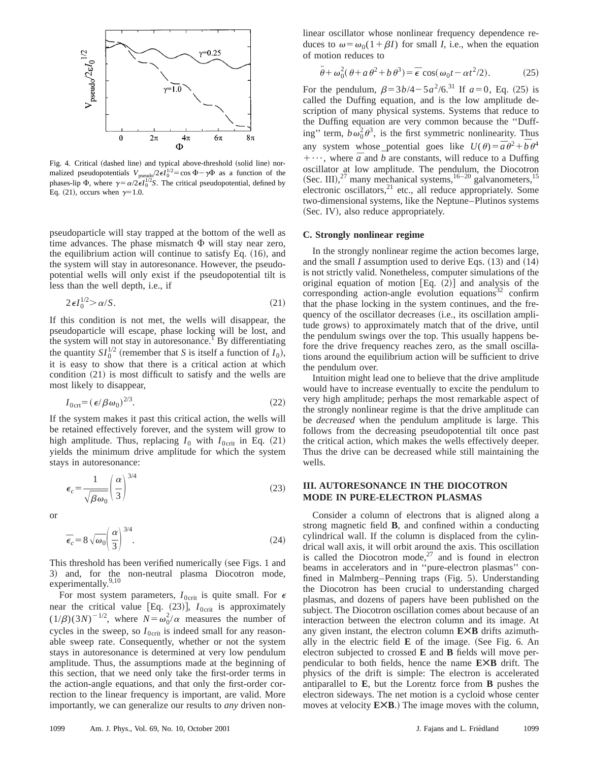

Fig. 4. Critical (dashed line) and typical above-threshold (solid line) normalized pseudopotentials  $V_{\text{pseudo}}/2\epsilon I_0^{1/2} = \cos \Phi - \gamma \Phi$  as a function of the phases-lip  $\Phi$ , where  $\gamma = \alpha/2\epsilon I_0^{1/2}S$ . The critical pseudopotential, defined by Eq. (21), occurs when  $\gamma=1.0$ .

pseudoparticle will stay trapped at the bottom of the well as time advances. The phase mismatch  $\Phi$  will stay near zero, the equilibrium action will continue to satisfy Eq.  $(16)$ , and the system will stay in autoresonance. However, the pseudopotential wells will only exist if the pseudopotential tilt is less than the well depth, i.e., if

$$
2\epsilon I_0^{1/2} > \alpha/S.
$$
 (21)

If this condition is not met, the wells will disappear, the pseudoparticle will escape, phase locking will be lost, and the system will not stay in autoresonance.<sup>1</sup> By differentiating the quantity  $SI_0^{1/2}$  (remember that *S* is itself a function of  $I_0$ ), it is easy to show that there is a critical action at which condition  $(21)$  is most difficult to satisfy and the wells are most likely to disappear,

$$
I_{0\text{crit}} = \left(\epsilon/\beta \omega_0\right)^{2/3}.\tag{22}
$$

If the system makes it past this critical action, the wells will be retained effectively forever, and the system will grow to high amplitude. Thus, replacing  $I_0$  with  $I_{0\text{crit}}$  in Eq. (21) yields the minimum drive amplitude for which the system stays in autoresonance:

$$
\epsilon_c = \frac{1}{\sqrt{\beta \omega_0}} \left(\frac{\alpha}{3}\right)^{3/4} \tag{23}
$$

or

$$
\overline{\epsilon}_c = 8\sqrt{\omega_0} \left(\frac{\alpha}{3}\right)^{3/4}.\tag{24}
$$

This threshold has been verified numerically (see Figs. 1 and 3) and, for the non-neutral plasma Diocotron mode, experimentally.<sup>9,10</sup>

For most system parameters,  $I_{0\text{crit}}$  is quite small. For  $\epsilon$ near the critical value [Eq.  $(23)$ ],  $I_{0\text{crit}}$  is approximately  $(1/\beta)(3N)^{-1/2}$ , where  $N = \omega_0^2/\alpha$  measures the number of cycles in the sweep, so  $I_{0\text{crit}}$  is indeed small for any reasonable sweep rate. Consequently, whether or not the system stays in autoresonance is determined at very low pendulum amplitude. Thus, the assumptions made at the beginning of this section, that we need only take the first-order terms in the action-angle equations, and that only the first-order correction to the linear frequency is important, are valid. More importantly, we can generalize our results to *any* driven nonlinear oscillator whose nonlinear frequency dependence reduces to  $\omega = \omega_0(1+\beta I)$  for small *I*, i.e., when the equation of motion reduces to

$$
\ddot{\theta} + \omega_0^2 (\theta + a \theta^2 + b \theta^3) = \bar{\epsilon} \cos(\omega_0 t - \alpha t^2 / 2). \tag{25}
$$

For the pendulum,  $\beta = 3b/4 - 5a^2/6$ .<sup>31</sup> If  $a=0$ , Eq. (25) is called the Duffing equation, and is the low amplitude description of many physical systems. Systems that reduce to the Duffing equation are very common because the ''Duffing" term,  $b\omega_0^2\theta^3$ , is the first symmetric nonlinearity. Thus any system whose potential goes like  $U(\theta) = \bar{a}\theta^2 + \bar{b}\theta^4$  $+ \cdots$ , where  $\bar{a}$  and  $\bar{b}$  are constants, will reduce to a Duffing oscillator at low amplitude. The pendulum, the Diocotron (Sec. III),<sup>27</sup> many mechanical systems,  $16-20$  galvanometers,  $15$ electronic oscillators, $21$  etc., all reduce appropriately. Some two-dimensional systems, like the Neptune–Plutinos systems (Sec. IV), also reduce appropriately.

#### **C. Strongly nonlinear regime**

In the strongly nonlinear regime the action becomes large, and the small  $I$  assumption used to derive Eqs.  $(13)$  and  $(14)$ is not strictly valid. Nonetheless, computer simulations of the original equation of motion  $[Eq. (2)]$  and analysis of the corresponding action-angle evolution equations $32$  confirm that the phase locking in the system continues, and the frequency of the oscillator decreases (i.e., its oscillation amplitude grows) to approximately match that of the drive, until the pendulum swings over the top. This usually happens before the drive frequency reaches zero, as the small oscillations around the equilibrium action will be sufficient to drive the pendulum over.

Intuition might lead one to believe that the drive amplitude would have to increase eventually to excite the pendulum to very high amplitude; perhaps the most remarkable aspect of the strongly nonlinear regime is that the drive amplitude can be *decreased* when the pendulum amplitude is large. This follows from the decreasing pseudopotential tilt once past the critical action, which makes the wells effectively deeper. Thus the drive can be decreased while still maintaining the wells.

### **III. AUTORESONANCE IN THE DIOCOTRON MODE IN PURE-ELECTRON PLASMAS**

Consider a column of electrons that is aligned along a strong magnetic field **B**, and confined within a conducting cylindrical wall. If the column is displaced from the cylindrical wall axis, it will orbit around the axis. This oscillation is called the Diocotron mode, $27$  and is found in electron beams in accelerators and in ''pure-electron plasmas'' confined in Malmberg–Penning traps (Fig. 5). Understanding the Diocotron has been crucial to understanding charged plasmas, and dozens of papers have been published on the subject. The Diocotron oscillation comes about because of an interaction between the electron column and its image. At any given instant, the electron column **EÃB** drifts azimuthally in the electric field  $\bf{E}$  of the image. (See Fig. 6. An electron subjected to crossed **E** and **B** fields will move perpendicular to both fields, hence the name **EÃB** drift. The physics of the drift is simple: The electron is accelerated antiparallel to **E**, but the Lorentz force from **B** pushes the electron sideways. The net motion is a cycloid whose center moves at velocity **EXB**.) The image moves with the column,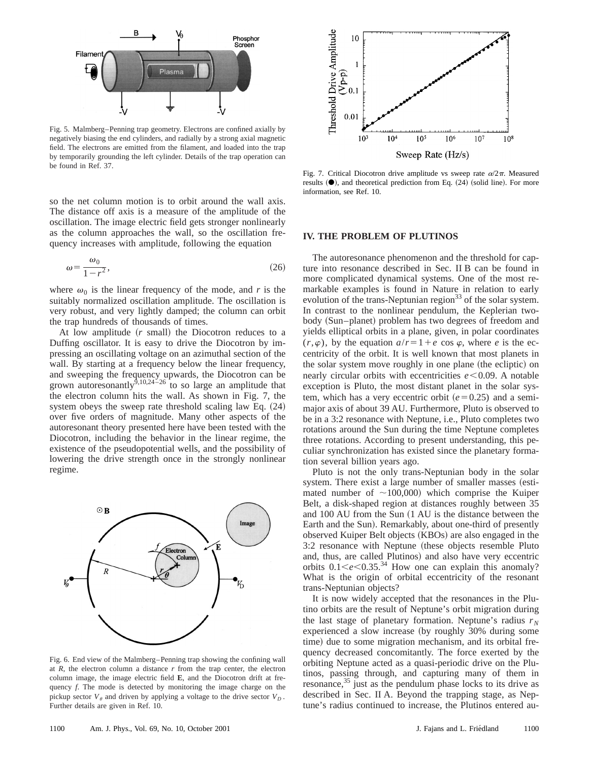

Fig. 5. Malmberg–Penning trap geometry. Electrons are confined axially by negatively biasing the end cylinders, and radially by a strong axial magnetic field. The electrons are emitted from the filament, and loaded into the trap by temporarily grounding the left cylinder. Details of the trap operation can be found in Ref. 37.

so the net column motion is to orbit around the wall axis. The distance off axis is a measure of the amplitude of the oscillation. The image electric field gets stronger nonlinearly as the column approaches the wall, so the oscillation frequency increases with amplitude, following the equation

$$
\omega = \frac{\omega_0}{1 - r^2},\tag{26}
$$

where  $\omega_0$  is the linear frequency of the mode, and *r* is the suitably normalized oscillation amplitude. The oscillation is very robust, and very lightly damped; the column can orbit the trap hundreds of thousands of times.

At low amplitude  $(r \text{ small})$  the Diocotron reduces to a Duffing oscillator. It is easy to drive the Diocotron by impressing an oscillating voltage on an azimuthal section of the wall. By starting at a frequency below the linear frequency, and sweeping the frequency upwards, the Diocotron can be grown autoresonantly<sup>9,10,24-26</sup> to so large an amplitude that the electron column hits the wall. As shown in Fig. 7, the system obeys the sweep rate threshold scaling law Eq.  $(24)$ over five orders of magnitude. Many other aspects of the autoresonant theory presented here have been tested with the Diocotron, including the behavior in the linear regime, the existence of the pseudopotential wells, and the possibility of lowering the drive strength once in the strongly nonlinear regime.



Fig. 6. End view of the Malmberg–Penning trap showing the confining wall at *R*, the electron column a distance *r* from the trap center, the electron column image, the image electric field **E**, and the Diocotron drift at frequency *f*. The mode is detected by monitoring the image charge on the pickup sector  $V_{\theta}$  and driven by applying a voltage to the drive sector  $V_{D}$ . Further details are given in Ref. 10.



Fig. 7. Critical Diocotron drive amplitude vs sweep rate  $\alpha/2\pi$ . Measured results  $(•)$ , and theoretical prediction from Eq.  $(24)$  (solid line). For more information, see Ref. 10.

#### **IV. THE PROBLEM OF PLUTINOS**

The autoresonance phenomenon and the threshold for capture into resonance described in Sec. II B can be found in more complicated dynamical systems. One of the most remarkable examples is found in Nature in relation to early evolution of the trans-Neptunian region<sup>33</sup> of the solar system. In contrast to the nonlinear pendulum, the Keplerian twobody (Sun–planet) problem has two degrees of freedom and yields elliptical orbits in a plane, given, in polar coordinates  $(r, \varphi)$ , by the equation  $a/r = 1 + e \cos \varphi$ , where *e* is the eccentricity of the orbit. It is well known that most planets in the solar system move roughly in one plane (the ecliptic) on nearly circular orbits with eccentricities  $e$ <0.09. A notable exception is Pluto, the most distant planet in the solar system, which has a very eccentric orbit  $(e=0.25)$  and a semimajor axis of about 39 AU. Furthermore, Pluto is observed to be in a 3:2 resonance with Neptune, i.e., Pluto completes two rotations around the Sun during the time Neptune completes three rotations. According to present understanding, this peculiar synchronization has existed since the planetary formation several billion years ago.

Pluto is not the only trans-Neptunian body in the solar system. There exist a large number of smaller masses (estimated number of  $\sim$ 100,000) which comprise the Kuiper Belt, a disk-shaped region at distances roughly between 35 and 100 AU from the Sun  $(1 \text{ AU})$  is the distance between the Earth and the Sun). Remarkably, about one-third of presently observed Kuiper Belt objects (KBOs) are also engaged in the 3:2 resonance with Neptune (these objects resemble Pluto and, thus, are called Plutinos) and also have very eccentric orbits  $0.1 \le e \le 0.35$ .<sup>34</sup> How one can explain this anomaly? What is the origin of orbital eccentricity of the resonant trans-Neptunian objects?

It is now widely accepted that the resonances in the Plutino orbits are the result of Neptune's orbit migration during the last stage of planetary formation. Neptune's radius  $r_N$ experienced a slow increase (by roughly 30% during some time) due to some migration mechanism, and its orbital frequency decreased concomitantly. The force exerted by the orbiting Neptune acted as a quasi-periodic drive on the Plutinos, passing through, and capturing many of them in resonance, $35$  just as the pendulum phase locks to its drive as described in Sec. II A. Beyond the trapping stage, as Neptune's radius continued to increase, the Plutinos entered au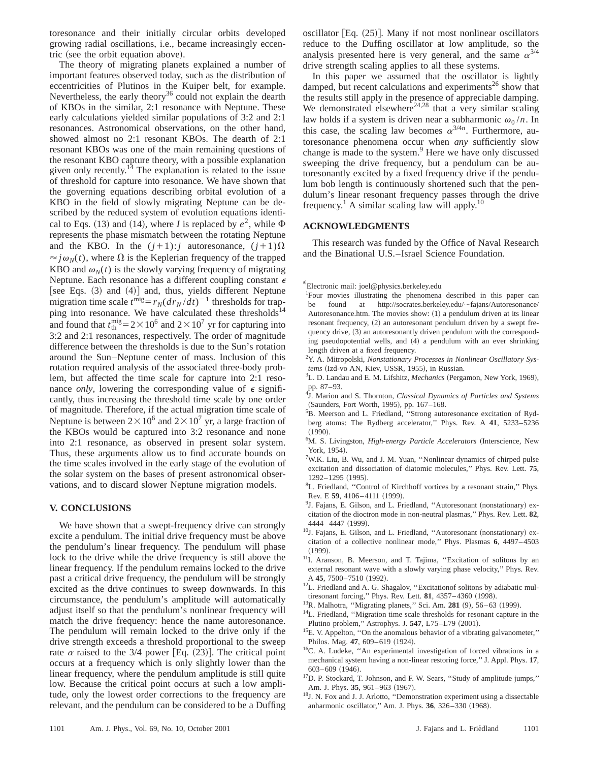toresonance and their initially circular orbits developed growing radial oscillations, i.e., became increasingly eccentric (see the orbit equation above).

The theory of migrating planets explained a number of important features observed today, such as the distribution of eccentricities of Plutinos in the Kuiper belt, for example. Nevertheless, the early theory<sup>36</sup> could not explain the dearth of KBOs in the similar, 2:1 resonance with Neptune. These early calculations yielded similar populations of 3:2 and 2:1 resonances. Astronomical observations, on the other hand, showed almost no 2:1 resonant KBOs. The dearth of 2:1 resonant KBOs was one of the main remaining questions of the resonant KBO capture theory, with a possible explanation given only recently. $^{14}$  The explanation is related to the issue of threshold for capture into resonance. We have shown that the governing equations describing orbital evolution of a KBO in the field of slowly migrating Neptune can be described by the reduced system of evolution equations identical to Eqs. (13) and (14), where *I* is replaced by  $e^2$ , while  $\Phi$ represents the phase mismatch between the rotating Neptune and the KBO. In the  $(j+1): j$  autoresonance,  $(j+1)\Omega$  $\approx j\omega_N(t)$ , where  $\Omega$  is the Keplerian frequency of the trapped KBO and  $\omega_N(t)$  is the slowly varying frequency of migrating Neptune. Each resonance has a different coupling constant  $\epsilon$ [see Eqs.  $(3)$  and  $(4)$ ] and, thus, yields different Neptune migration time scale  $t^{\text{mig}} = r_N (dr_N/dt)^{-1}$  thresholds for trapping into resonance. We have calculated these thresholds $^{14}$ and found that  $t_{\text{th}}^{\text{mig}}=2\times10^6$  and  $2\times10^7$  yr for capturing into 3:2 and 2:1 resonances, respectively. The order of magnitude difference between the thresholds is due to the Sun's rotation around the Sun–Neptune center of mass. Inclusion of this rotation required analysis of the associated three-body problem, but affected the time scale for capture into 2:1 resonance *only*, lowering the corresponding value of  $\epsilon$  significantly, thus increasing the threshold time scale by one order of magnitude. Therefore, if the actual migration time scale of Neptune is between  $2 \times 10^6$  and  $2 \times 10^7$  yr, a large fraction of the KBOs would be captured into 3:2 resonance and none into 2:1 resonance, as observed in present solar system. Thus, these arguments allow us to find accurate bounds on the time scales involved in the early stage of the evolution of the solar system on the bases of present astronomical observations, and to discard slower Neptune migration models.

### **V. CONCLUSIONS**

We have shown that a swept-frequency drive can strongly excite a pendulum. The initial drive frequency must be above the pendulum's linear frequency. The pendulum will phase lock to the drive while the drive frequency is still above the linear frequency. If the pendulum remains locked to the drive past a critical drive frequency, the pendulum will be strongly excited as the drive continues to sweep downwards. In this circumstance, the pendulum's amplitude will automatically adjust itself so that the pendulum's nonlinear frequency will match the drive frequency: hence the name autoresonance. The pendulum will remain locked to the drive only if the drive strength exceeds a threshold proportional to the sweep rate  $\alpha$  raised to the 3/4 power [Eq. (23)]. The critical point occurs at a frequency which is only slightly lower than the linear frequency, where the pendulum amplitude is still quite low. Because the critical point occurs at such a low amplitude, only the lowest order corrections to the frequency are relevant, and the pendulum can be considered to be a Duffing

oscillator  $[Eq. (25)]$ . Many if not most nonlinear oscillators reduce to the Duffing oscillator at low amplitude, so the analysis presented here is very general, and the same  $\alpha^{3/4}$ drive strength scaling applies to all these systems.

In this paper we assumed that the oscillator is lightly damped, but recent calculations and experiments<sup>26</sup> show that the results still apply in the presence of appreciable damping. We demonstrated elsewhere $24,28$  that a very similar scaling law holds if a system is driven near a subharmonic  $\omega_0 / n$ . In this case, the scaling law becomes  $\alpha^{3/4n}$ . Furthermore, autoresonance phenomena occur when *any* sufficiently slow change is made to the system.<sup>9</sup> Here we have only discussed sweeping the drive frequency, but a pendulum can be autoresonantly excited by a fixed frequency drive if the pendulum bob length is continuously shortened such that the pendulum's linear resonant frequency passes through the drive frequency.<sup>1</sup> A similar scaling law will apply.<sup>10</sup>

## **ACKNOWLEDGMENTS**

This research was funded by the Office of Naval Research and the Binational U.S.–Israel Science Foundation.

- <sup>1</sup>Four movies illustrating the phenomena described in this paper can be found at http://socrates.berkeley.edu/~fajans/Autoresonance/ Autoresonance.htm. The movies show:  $(1)$  a pendulum driven at its linear resonant frequency, (2) an autoresonant pendulum driven by a swept frequency drive, (3) an autoresonantly driven pendulum with the corresponding pseudopotential wells, and (4) a pendulum with an ever shrinking length driven at a fixed frequency.
- 2 Y. A. Mitropolski, *Nonstationary Processes in Nonlinear Oscillatory Sys*tems (Izd-vo AN, Kiev, USSR, 1955), in Russian.
- <sup>3</sup>L. D. Landau and E. M. Lifshitz, *Mechanics* (Pergamon, New York, 1969), pp. 87–93.
- 4 J. Marion and S. Thornton, *Classical Dynamics of Particles and Systems* (Saunders, Fort Worth, 1995), pp. 167-168.
- 5 B. Meerson and L. Friedland, ''Strong autoresonance excitation of Rydberg atoms: The Rydberg accelerator,'' Phys. Rev. A **41**, 5233–5236  $(1990).$
- <sup>6</sup>M. S. Livingston, *High-energy Particle Accelerators* (Interscience, New York, 1954).
- <sup>7</sup>W.K. Liu, B. Wu, and J. M. Yuan, "Nonlinear dynamics of chirped pulse excitation and dissociation of diatomic molecules,'' Phys. Rev. Lett. **75**,  $1292 - 1295$  (1995).
- <sup>8</sup>L. Friedland, "Control of Kirchhoff vortices by a resonant strain," Phys. Rev. E 59, 4106-4111 (1999).
- <sup>9</sup>J. Fajans, E. Gilson, and L. Friedland, "Autoresonant (nonstationary) excitation of the dioctron mode in non-neutral plasmas,'' Phys. Rev. Lett. **82**, 4444–4447 (1999).
- $10$ J. Fajans, E. Gilson, and L. Friedland, "Autoresonant (nonstationary) excitation of a collective nonlinear mode,'' Phys. Plasmas **6**, 4497–4503  $(1999).$
- <sup>11</sup>I. Aranson, B. Meerson, and T. Tajima, "Excitation of solitons by an external resonant wave with a slowly varying phase velocity,'' Phys. Rev. A 45, 7500-7510 (1992).
- <sup>12</sup>L. Friedland and A. G. Shagalov, "Excitationof solitons by adiabatic multiresonant forcing," Phys. Rev. Lett. **81**, 4357-4360 (1998).
- <sup>13</sup>R. Malhotra, "Migrating planets," Sci. Am. **281** (9), 56–63 (1999).
- <sup>14</sup>L. Friedland, "Migration time scale thresholds for resonant capture in the Plutino problem," Astrophys. J. 547, L75-L79 (2001).
- <sup>15</sup>E. V. Appelton, "On the anomalous behavior of a vibrating galvanometer," Philos. Mag. 47, 609-619 (1924).
- <sup>16</sup>C. A. Ludeke, "An experimental investigation of forced vibrations in a mechanical system having a non-linear restoring force,'' J. Appl. Phys. **17**,  $603-609$   $(1946)$ .
- <sup>17</sup>D. P. Stockard, T. Johnson, and F. W. Sears, "Study of amplitude jumps," Am. J. Phys. 35, 961-963 (1967).
- <sup>18</sup>J. N. Fox and J. J. Arlotto, "Demonstration experiment using a dissectable anharmonic oscillator," Am. J. Phys. 36, 326-330 (1968).

a)<br>Electronic mail: joel@physics.berkeley.edu